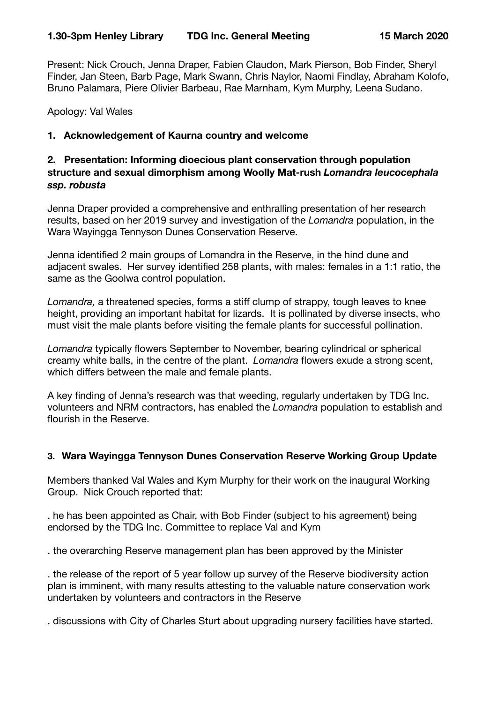Present: Nick Crouch, Jenna Draper, Fabien Claudon, Mark Pierson, Bob Finder, Sheryl Finder, Jan Steen, Barb Page, Mark Swann, Chris Naylor, Naomi Findlay, Abraham Kolofo, Bruno Palamara, Piere Olivier Barbeau, Rae Marnham, Kym Murphy, Leena Sudano.

Apology: Val Wales

# **1. Acknowledgement of Kaurna country and welcome**

# **2. Presentation: Informing dioecious plant conservation through population structure and sexual dimorphism among Woolly Mat-rush** *Lomandra leucocephala ssp. robusta*

Jenna Draper provided a comprehensive and enthralling presentation of her research results, based on her 2019 survey and investigation of the *Lomandra* population, in the Wara Wayingga Tennyson Dunes Conservation Reserve.

Jenna identified 2 main groups of Lomandra in the Reserve, in the hind dune and adjacent swales. Her survey identified 258 plants, with males: females in a 1:1 ratio, the same as the Goolwa control population.

*Lomandra,* a threatened species, forms a stiff clump of strappy, tough leaves to knee height, providing an important habitat for lizards. It is pollinated by diverse insects, who must visit the male plants before visiting the female plants for successful pollination.

*Lomandra* typically flowers September to November, bearing cylindrical or spherical creamy white balls, in the centre of the plant. *Lomandra* flowers exude a strong scent, which differs between the male and female plants.

A key finding of Jenna's research was that weeding, regularly undertaken by TDG Inc. volunteers and NRM contractors, has enabled the *Lomandra* population to establish and flourish in the Reserve.

#### **3. Wara Wayingga Tennyson Dunes Conservation Reserve Working Group Update**

Members thanked Val Wales and Kym Murphy for their work on the inaugural Working Group. Nick Crouch reported that:

. he has been appointed as Chair, with Bob Finder (subject to his agreement) being endorsed by the TDG Inc. Committee to replace Val and Kym

. the overarching Reserve management plan has been approved by the Minister

. the release of the report of 5 year follow up survey of the Reserve biodiversity action plan is imminent, with many results attesting to the valuable nature conservation work undertaken by volunteers and contractors in the Reserve

. discussions with City of Charles Sturt about upgrading nursery facilities have started.